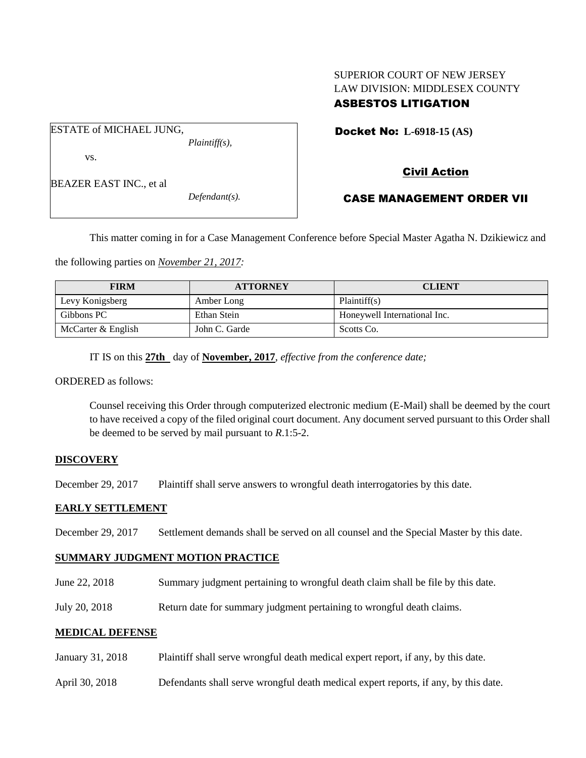## SUPERIOR COURT OF NEW JERSEY LAW DIVISION: MIDDLESEX COUNTY ASBESTOS LITIGATION

ESTATE of MICHAEL JUNG, *Plaintiff(s),* vs.

BEAZER EAST INC., et al

*Defendant(s).*

Docket No: **L-6918-15 (AS)** 

# Civil Action

## CASE MANAGEMENT ORDER VII

This matter coming in for a Case Management Conference before Special Master Agatha N. Dzikiewicz and

the following parties on *November 21, 2017:*

| <b>FIRM</b>        | <b>ATTORNEY</b> | <b>CLIENT</b>                |
|--------------------|-----------------|------------------------------|
| Levy Konigsberg    | Amber Long      | Plaintiff(s)                 |
| Gibbons PC         | Ethan Stein     | Honeywell International Inc. |
| McCarter & English | John C. Garde   | Scotts Co.                   |

IT IS on this **27th** day of **November, 2017**, *effective from the conference date;*

ORDERED as follows:

Counsel receiving this Order through computerized electronic medium (E-Mail) shall be deemed by the court to have received a copy of the filed original court document. Any document served pursuant to this Order shall be deemed to be served by mail pursuant to *R*.1:5-2.

## **DISCOVERY**

December 29, 2017 Plaintiff shall serve answers to wrongful death interrogatories by this date.

## **EARLY SETTLEMENT**

December 29, 2017 Settlement demands shall be served on all counsel and the Special Master by this date.

## **SUMMARY JUDGMENT MOTION PRACTICE**

- June 22, 2018 Summary judgment pertaining to wrongful death claim shall be file by this date.
- July 20, 2018 Return date for summary judgment pertaining to wrongful death claims.

## **MEDICAL DEFENSE**

- January 31, 2018 Plaintiff shall serve wrongful death medical expert report, if any, by this date.
- April 30, 2018 Defendants shall serve wrongful death medical expert reports, if any, by this date.